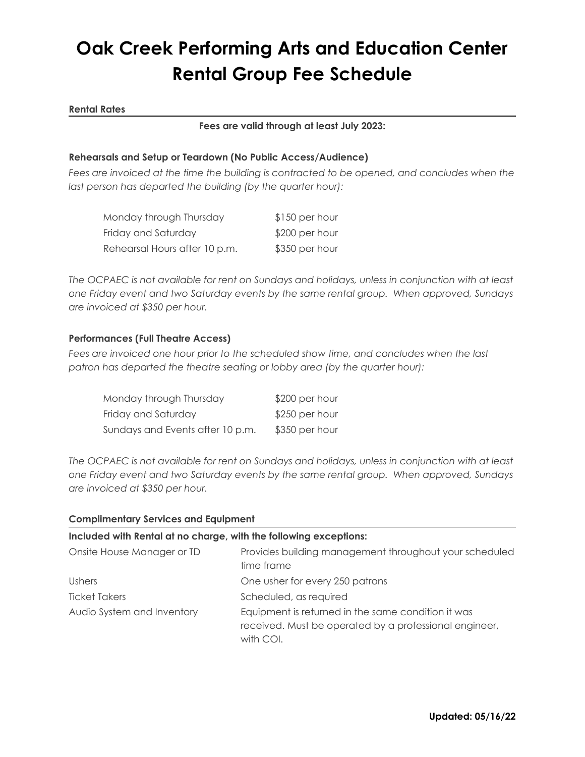## **Oak Creek Performing Arts and Education Center Rental Group Fee Schedule**

#### **Rental Rates**

#### **Fees are valid through at least July 2023:**

#### **Rehearsals and Setup or Teardown (No Public Access/Audience)**

*Fees are invoiced at the time the building is contracted to be opened, and concludes when the last person has departed the building (by the quarter hour):*

| Monday through Thursday       | \$150 per hour |
|-------------------------------|----------------|
| Friday and Saturday           | \$200 per hour |
| Rehearsal Hours after 10 p.m. | \$350 per hour |

*The OCPAEC is not available for rent on Sundays and holidays, unless in conjunction with at least one Friday event and two Saturday events by the same rental group. When approved, Sundays are invoiced at \$350 per hour.*

#### **Performances (Full Theatre Access)**

*Fees are invoiced one hour prior to the scheduled show time, and concludes when the last patron has departed the theatre seating or lobby area (by the quarter hour):*

| Monday through Thursday          | \$200 per hour |
|----------------------------------|----------------|
| Friday and Saturday              | \$250 per hour |
| Sundays and Events after 10 p.m. | \$350 per hour |

*The OCPAEC is not available for rent on Sundays and holidays, unless in conjunction with at least one Friday event and two Saturday events by the same rental group. When approved, Sundays are invoiced at \$350 per hour.*

#### **Complimentary Services and Equipment**

#### **Included with Rental at no charge, with the following exceptions:**

| Onsite House Manager or TD | Provides building management throughout your scheduled<br>time frame                                                      |
|----------------------------|---------------------------------------------------------------------------------------------------------------------------|
| <b>Ushers</b>              | One usher for every 250 patrons                                                                                           |
| Ticket Takers              | Scheduled, as required                                                                                                    |
| Audio System and Inventory | Equipment is returned in the same condition it was<br>received. Must be operated by a professional engineer,<br>with COI. |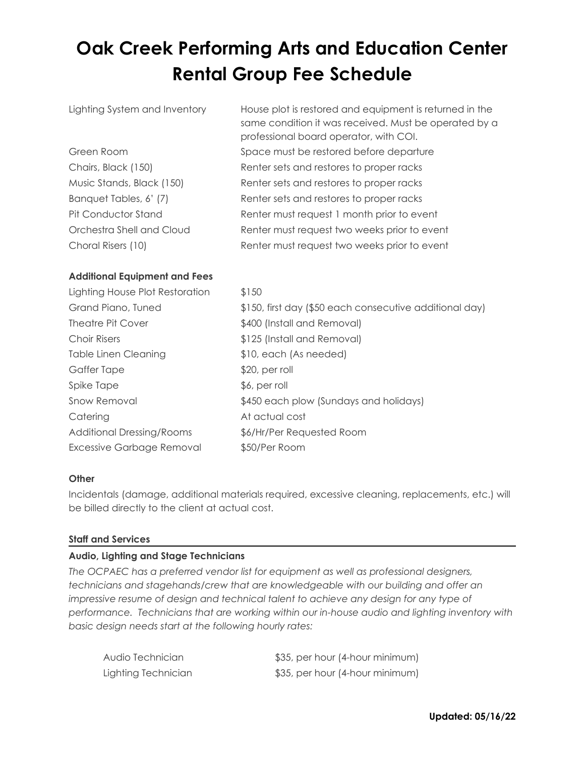## **Oak Creek Performing Arts and Education Center Rental Group Fee Schedule**

same condition it was received. Must be operated by a

Lighting System and Inventory House plot is restored and equipment is returned in the

professional board operator, with COI. Green Room Space must be restored before departure Chairs, Black (150) Renter sets and restores to proper racks Music Stands, Black (150) Renter sets and restores to proper racks Banquet Tables, 6' (7) Renter sets and restores to proper racks Pit Conductor Stand **Renter must request 1 month prior to event** Orchestra Shell and Cloud Renter must request two weeks prior to event Choral Risers (10) Renter must request two weeks prior to event

## **Additional Equipment and Fees**

| Lighting House Plot Restoration  | \$150                                                   |
|----------------------------------|---------------------------------------------------------|
| Grand Piano, Tuned               | \$150, first day (\$50 each consecutive additional day) |
| Theatre Pit Cover                | \$400 (Install and Removal)                             |
| <b>Choir Risers</b>              | \$125 (Install and Removal)                             |
| <b>Table Linen Cleaning</b>      | \$10, each (As needed)                                  |
| Gaffer Tape                      | \$20, per roll                                          |
| Spike Tape                       | \$6, per roll                                           |
| Snow Removal                     | \$450 each plow (Sundays and holidays)                  |
| Catering                         | At actual cost                                          |
| <b>Additional Dressing/Rooms</b> | \$6/Hr/Per Requested Room                               |
| Excessive Garbage Removal        | \$50/Per Room                                           |

## **Other**

Incidentals (damage, additional materials required, excessive cleaning, replacements, etc.) will be billed directly to the client at actual cost.

## **Staff and Services**

## **Audio, Lighting and Stage Technicians**

*The OCPAEC has a preferred vendor list for equipment as well as professional designers, technicians and stagehands/crew that are knowledgeable with our building and offer an impressive resume of design and technical talent to achieve any design for any type of performance. Technicians that are working within our in-house audio and lighting inventory with basic design needs start at the following hourly rates:*

| Audio Technician    | \$35, per hour (4-hour minimum) |
|---------------------|---------------------------------|
| Lighting Technician | \$35, per hour (4-hour minimum) |